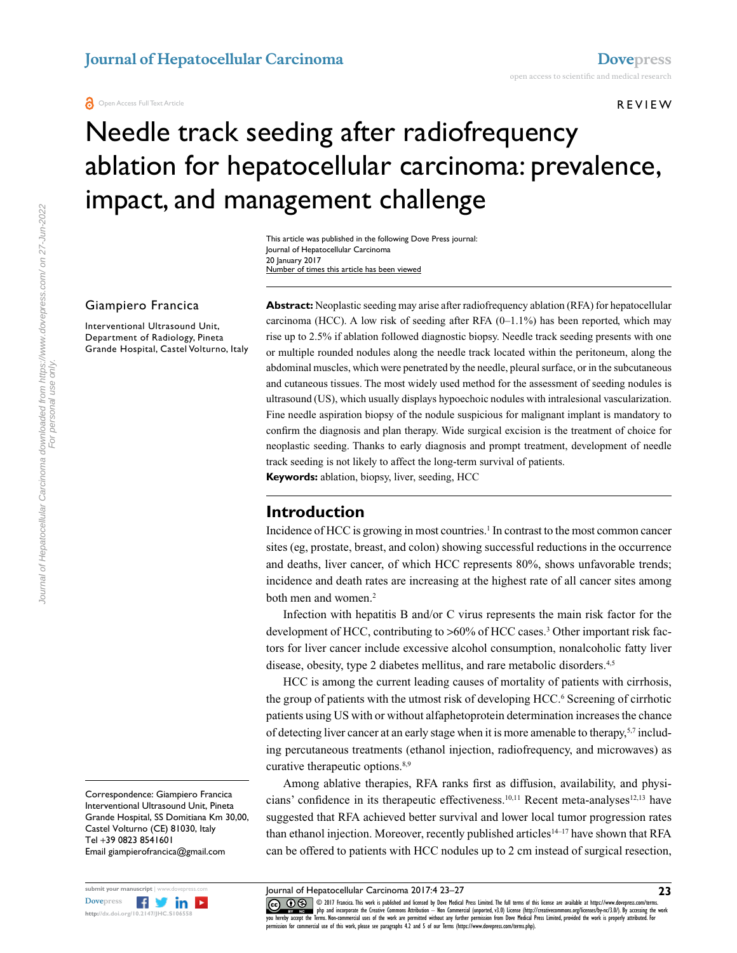#### REVIEW

# Needle track seeding after radiofrequency ablation for hepatocellular carcinoma: prevalence, impact, and management challenge

This article was published in the following Dove Press journal: Journal of Hepatocellular Carcinoma 20 January 2017 Number of times this article has been viewed

#### Giampiero Francica

Interventional Ultrasound Unit, Department of Radiology, Pineta Grande Hospital, Castel Volturno, Italy **Abstract:** Neoplastic seeding may arise after radiofrequency ablation (RFA) for hepatocellular carcinoma (HCC). A low risk of seeding after RFA  $(0-1.1\%)$  has been reported, which may rise up to 2.5% if ablation followed diagnostic biopsy. Needle track seeding presents with one or multiple rounded nodules along the needle track located within the peritoneum, along the abdominal muscles, which were penetrated by the needle, pleural surface, or in the subcutaneous and cutaneous tissues. The most widely used method for the assessment of seeding nodules is ultrasound (US), which usually displays hypoechoic nodules with intralesional vascularization. Fine needle aspiration biopsy of the nodule suspicious for malignant implant is mandatory to confirm the diagnosis and plan therapy. Wide surgical excision is the treatment of choice for neoplastic seeding. Thanks to early diagnosis and prompt treatment, development of needle track seeding is not likely to affect the long-term survival of patients.

**Keywords:** ablation, biopsy, liver, seeding, HCC

#### **Introduction**

Incidence of HCC is growing in most countries.<sup>1</sup> In contrast to the most common cancer sites (eg, prostate, breast, and colon) showing successful reductions in the occurrence and deaths, liver cancer, of which HCC represents 80%, shows unfavorable trends; incidence and death rates are increasing at the highest rate of all cancer sites among both men and women.<sup>2</sup>

Infection with hepatitis B and/or C virus represents the main risk factor for the development of HCC, contributing to >60% of HCC cases.<sup>3</sup> Other important risk factors for liver cancer include excessive alcohol consumption, nonalcoholic fatty liver disease, obesity, type 2 diabetes mellitus, and rare metabolic disorders.<sup>4,5</sup>

HCC is among the current leading causes of mortality of patients with cirrhosis, the group of patients with the utmost risk of developing HCC.<sup>6</sup> Screening of cirrhotic patients using US with or without alfaphetoprotein determination increases the chance of detecting liver cancer at an early stage when it is more amenable to therapy,<sup>5,7</sup> including percutaneous treatments (ethanol injection, radiofrequency, and microwaves) as curative therapeutic options.<sup>8,9</sup>

Among ablative therapies, RFA ranks first as diffusion, availability, and physicians' confidence in its therapeutic effectiveness.<sup>10,11</sup> Recent meta-analyses<sup>12,13</sup> have suggested that RFA achieved better survival and lower local tumor progression rates than ethanol injection. Moreover, recently published articles<sup>14–17</sup> have shown that RFA can be offered to patients with HCC nodules up to 2 cm instead of surgical resection,

Journal of Hepatocellular Carcinoma 2017:4 23–27

CO ODI7 Francica. This work is published and licensed by Dove Medical Press Limited. The full terms of this license are available at https://www.dovepress.com/terms.<br>You hereby accept the Terms. Non-commercial uses of the  $m$ ission for commercial use of this work, please see paragraphs  $4.2$  and  $5$  of our Terms (https://www.dovepress.com/terms.php).

Correspondence: Giampiero Francica Interventional Ultrasound Unit, Pineta Grande Hospital, SS Domitiana Km 30,00, Castel Volturno (CE) 81030, Italy Tel +39 0823 8541601 Email giampierofrancica@gmail.com

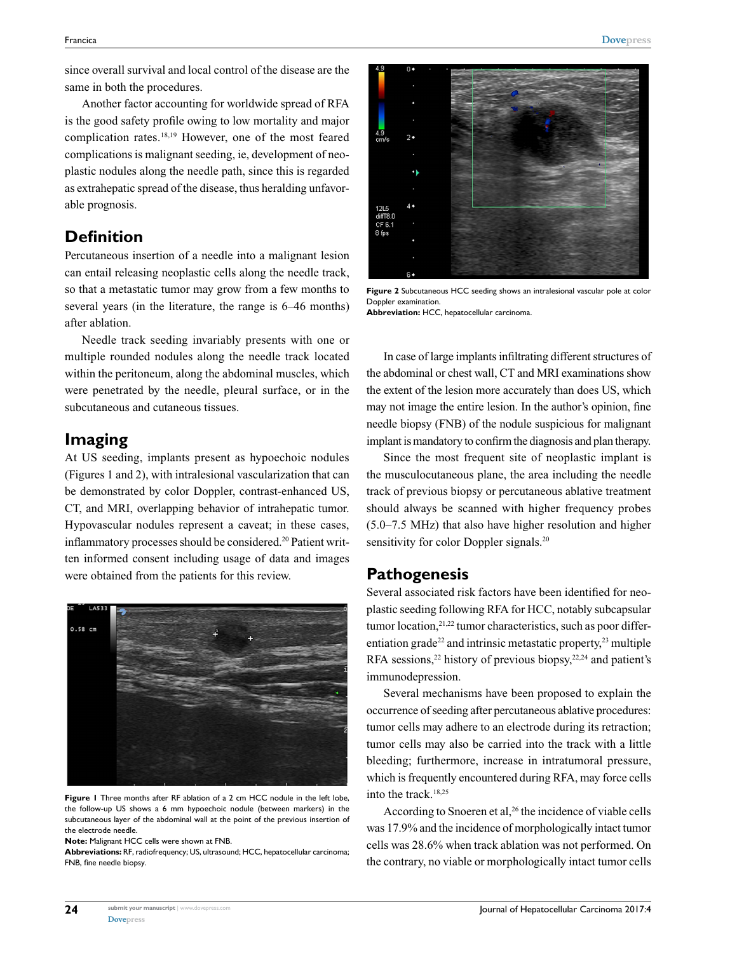since overall survival and local control of the disease are the same in both the procedures.

Another factor accounting for worldwide spread of RFA is the good safety profile owing to low mortality and major complication rates.18,19 However, one of the most feared complications is malignant seeding, ie, development of neoplastic nodules along the needle path, since this is regarded as extrahepatic spread of the disease, thus heralding unfavorable prognosis.

## **Definition**

Percutaneous insertion of a needle into a malignant lesion can entail releasing neoplastic cells along the needle track, so that a metastatic tumor may grow from a few months to several years (in the literature, the range is 6–46 months) after ablation.

Needle track seeding invariably presents with one or multiple rounded nodules along the needle track located within the peritoneum, along the abdominal muscles, which were penetrated by the needle, pleural surface, or in the subcutaneous and cutaneous tissues.

## **Imaging**

At US seeding, implants present as hypoechoic nodules (Figures 1 and 2), with intralesional vascularization that can be demonstrated by color Doppler, contrast-enhanced US, CT, and MRI, overlapping behavior of intrahepatic tumor. Hypovascular nodules represent a caveat; in these cases, inflammatory processes should be considered.<sup>20</sup> Patient written informed consent including usage of data and images were obtained from the patients for this review.



**Figure 1** Three months after RF ablation of a 2 cm HCC nodule in the left lobe, the follow-up US shows a 6 mm hypoechoic nodule (between markers) in the subcutaneous layer of the abdominal wall at the point of the previous insertion of the electrode needle.

**Note:** Malignant HCC cells were shown at FNB.

**Abbreviations:** RF, radiofrequency; US, ultrasound; HCC, hepatocellular carcinoma; FNB, fine needle biopsy.



**Figure 2** Subcutaneous HCC seeding shows an intralesional vascular pole at color Doppler examination. **Abbreviation:** HCC, hepatocellular carcinoma.

In case of large implants infiltrating different structures of the abdominal or chest wall, CT and MRI examinations show the extent of the lesion more accurately than does US, which may not image the entire lesion. In the author's opinion, fine needle biopsy (FNB) of the nodule suspicious for malignant implant is mandatory to confirm the diagnosis and plan therapy.

Since the most frequent site of neoplastic implant is the musculocutaneous plane, the area including the needle track of previous biopsy or percutaneous ablative treatment should always be scanned with higher frequency probes (5.0–7.5 MHz) that also have higher resolution and higher sensitivity for color Doppler signals.<sup>20</sup>

#### **Pathogenesis**

Several associated risk factors have been identified for neoplastic seeding following RFA for HCC, notably subcapsular tumor location, $2^{1,22}$  tumor characteristics, such as poor differentiation grade<sup>22</sup> and intrinsic metastatic property,<sup>23</sup> multiple RFA sessions,<sup>22</sup> history of previous biopsy,<sup>22,24</sup> and patient's immunodepression.

Several mechanisms have been proposed to explain the occurrence of seeding after percutaneous ablative procedures: tumor cells may adhere to an electrode during its retraction; tumor cells may also be carried into the track with a little bleeding; furthermore, increase in intratumoral pressure, which is frequently encountered during RFA, may force cells into the track.18,25

According to Snoeren et al,<sup>26</sup> the incidence of viable cells was 17.9% and the incidence of morphologically intact tumor cells was 28.6% when track ablation was not performed. On the contrary, no viable or morphologically intact tumor cells

**24**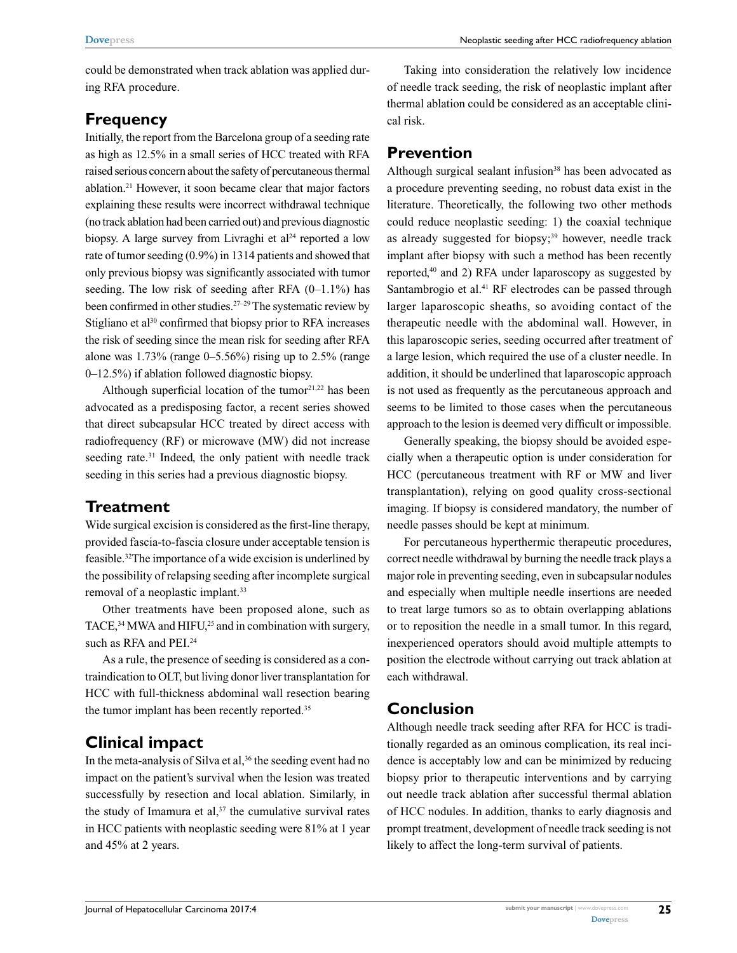could be demonstrated when track ablation was applied during RFA procedure.

## **Frequency**

Initially, the report from the Barcelona group of a seeding rate as high as 12.5% in a small series of HCC treated with RFA raised serious concern about the safety of percutaneous thermal ablation.21 However, it soon became clear that major factors explaining these results were incorrect withdrawal technique (no track ablation had been carried out) and previous diagnostic biopsy. A large survey from Livraghi et al<sup>24</sup> reported a low rate of tumor seeding (0.9%) in 1314 patients and showed that only previous biopsy was significantly associated with tumor seeding. The low risk of seeding after RFA  $(0-1.1\%)$  has been confirmed in other studies.<sup>27-29</sup> The systematic review by Stigliano et al<sup>30</sup> confirmed that biopsy prior to RFA increases the risk of seeding since the mean risk for seeding after RFA alone was  $1.73\%$  (range 0–5.56%) rising up to 2.5% (range 0–12.5%) if ablation followed diagnostic biopsy.

Although superficial location of the tumor $2^{1,22}$  has been advocated as a predisposing factor, a recent series showed that direct subcapsular HCC treated by direct access with radiofrequency (RF) or microwave (MW) did not increase seeding rate.<sup>31</sup> Indeed, the only patient with needle track seeding in this series had a previous diagnostic biopsy.

## **Treatment**

Wide surgical excision is considered as the first-line therapy, provided fascia-to-fascia closure under acceptable tension is feasible.32The importance of a wide excision is underlined by the possibility of relapsing seeding after incomplete surgical removal of a neoplastic implant.33

Other treatments have been proposed alone, such as TACE,  $34$  MWA and HIFU,  $25$  and in combination with surgery, such as RFA and PEI.<sup>24</sup>

As a rule, the presence of seeding is considered as a contraindication to OLT, but living donor liver transplantation for HCC with full-thickness abdominal wall resection bearing the tumor implant has been recently reported.<sup>35</sup>

## **Clinical impact**

In the meta-analysis of Silva et al,<sup>36</sup> the seeding event had no impact on the patient's survival when the lesion was treated successfully by resection and local ablation. Similarly, in the study of Imamura et al, $37$  the cumulative survival rates in HCC patients with neoplastic seeding were 81% at 1 year and 45% at 2 years.

Taking into consideration the relatively low incidence of needle track seeding, the risk of neoplastic implant after thermal ablation could be considered as an acceptable clinical risk.

## **Prevention**

Although surgical sealant infusion<sup>38</sup> has been advocated as a procedure preventing seeding, no robust data exist in the literature. Theoretically, the following two other methods could reduce neoplastic seeding: 1) the coaxial technique as already suggested for biopsy;<sup>39</sup> however, needle track implant after biopsy with such a method has been recently reported,40 and 2) RFA under laparoscopy as suggested by Santambrogio et al.<sup>41</sup> RF electrodes can be passed through larger laparoscopic sheaths, so avoiding contact of the therapeutic needle with the abdominal wall. However, in this laparoscopic series, seeding occurred after treatment of a large lesion, which required the use of a cluster needle. In addition, it should be underlined that laparoscopic approach is not used as frequently as the percutaneous approach and seems to be limited to those cases when the percutaneous approach to the lesion is deemed very difficult or impossible.

Generally speaking, the biopsy should be avoided especially when a therapeutic option is under consideration for HCC (percutaneous treatment with RF or MW and liver transplantation), relying on good quality cross-sectional imaging. If biopsy is considered mandatory, the number of needle passes should be kept at minimum.

For percutaneous hyperthermic therapeutic procedures, correct needle withdrawal by burning the needle track plays a major role in preventing seeding, even in subcapsular nodules and especially when multiple needle insertions are needed to treat large tumors so as to obtain overlapping ablations or to reposition the needle in a small tumor. In this regard, inexperienced operators should avoid multiple attempts to position the electrode without carrying out track ablation at each withdrawal.

## **Conclusion**

Although needle track seeding after RFA for HCC is traditionally regarded as an ominous complication, its real incidence is acceptably low and can be minimized by reducing biopsy prior to therapeutic interventions and by carrying out needle track ablation after successful thermal ablation of HCC nodules. In addition, thanks to early diagnosis and prompt treatment, development of needle track seeding is not likely to affect the long-term survival of patients.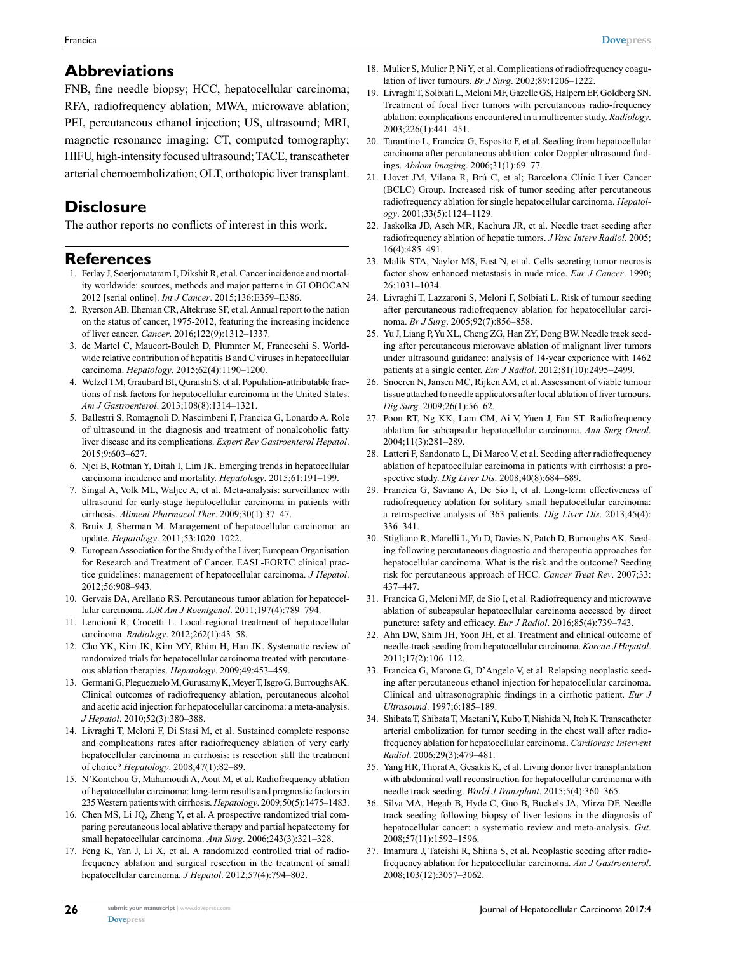Francica

### **Abbreviations**

FNB, fine needle biopsy; HCC, hepatocellular carcinoma; RFA, radiofrequency ablation; MWA, microwave ablation; PEI, percutaneous ethanol injection; US, ultrasound; MRI, magnetic resonance imaging; CT, computed tomography; HIFU, high-intensity focused ultrasound; TACE, transcatheter arterial chemoembolization; OLT, orthotopic liver transplant.

## **Disclosure**

The author reports no conflicts of interest in this work.

#### **References**

- 1. Ferlay J, Soerjomataram I, Dikshit R, et al. Cancer incidence and mortality worldwide: sources, methods and major patterns in GLOBOCAN 2012 [serial online]. *Int J Cancer*. 2015;136:E359–E386.
- 2. Ryerson AB, Eheman CR, Altekruse SF, et al. Annual report to the nation on the status of cancer, 1975-2012, featuring the increasing incidence of liver cancer. *Cancer*. 2016;122(9):1312–1337.
- 3. de Martel C, Maucort-Boulch D, Plummer M, Franceschi S. Worldwide relative contribution of hepatitis B and C viruses in hepatocellular carcinoma. *Hepatology*. 2015;62(4):1190–1200.
- 4. Welzel TM, Graubard BI, Quraishi S, et al. Population-attributable fractions of risk factors for hepatocellular carcinoma in the United States. *Am J Gastroenterol*. 2013;108(8):1314–1321.
- 5. Ballestri S, Romagnoli D, Nascimbeni F, Francica G, Lonardo A. Role of ultrasound in the diagnosis and treatment of nonalcoholic fatty liver disease and its complications. *Expert Rev Gastroenterol Hepatol*. 2015;9:603–627.
- 6. Njei B, Rotman Y, Ditah I, Lim JK. Emerging trends in hepatocellular carcinoma incidence and mortality. *Hepatology*. 2015;61:191–199.
- 7. Singal A, Volk ML, Waljee A, et al. Meta-analysis: surveillance with ultrasound for early-stage hepatocellular carcinoma in patients with cirrhosis. *Aliment Pharmacol Ther*. 2009;30(1):37–47.
- 8. Bruix J, Sherman M. Management of hepatocellular carcinoma: an update. *Hepatology*. 2011;53:1020–1022.
- 9. European Association for the Study of the Liver; European Organisation for Research and Treatment of Cancer. EASL-EORTC clinical practice guidelines: management of hepatocellular carcinoma. *J Hepatol*. 2012;56:908–943.
- 10. Gervais DA, Arellano RS. Percutaneous tumor ablation for hepatocellular carcinoma. *AJR Am J Roentgenol*. 2011;197(4):789–794.
- 11. Lencioni R, Crocetti L. Local-regional treatment of hepatocellular carcinoma. *Radiology*. 2012;262(1):43–58.
- 12. Cho YK, Kim JK, Kim MY, Rhim H, Han JK. Systematic review of randomized trials for hepatocellular carcinoma treated with percutaneous ablation therapies. *Hepatology*. 2009;49:453–459.
- 13. Germani G, Pleguezuelo M, Gurusamy K, Meyer T, Isgro G, Burroughs AK. Clinical outcomes of radiofrequency ablation, percutaneous alcohol and acetic acid injection for hepatocelullar carcinoma: a meta-analysis. *J Hepatol*. 2010;52(3):380–388.
- 14. Livraghi T, Meloni F, Di Stasi M, et al. Sustained complete response and complications rates after radiofrequency ablation of very early hepatocellular carcinoma in cirrhosis: is resection still the treatment of choice? *Hepatology*. 2008;47(1):82–89.
- 15. N'Kontchou G, Mahamoudi A, Aout M, et al. Radiofrequency ablation of hepatocellular carcinoma: long-term results and prognostic factors in 235 Western patients with cirrhosis. *Hepatology*. 2009;50(5):1475–1483.
- 16. Chen MS, Li JQ, Zheng Y, et al. A prospective randomized trial comparing percutaneous local ablative therapy and partial hepatectomy for small hepatocellular carcinoma. *Ann Surg*. 2006;243(3):321–328.
- 17. Feng K, Yan J, Li X, et al. A randomized controlled trial of radiofrequency ablation and surgical resection in the treatment of small hepatocellular carcinoma. *J Hepatol*. 2012;57(4):794–802.

**26**

- 18. Mulier S, Mulier P, Ni Y, et al. Complications of radiofrequency coagulation of liver tumours. *Br J Surg*. 2002;89:1206–1222.
- 19. Livraghi T, Solbiati L, Meloni MF, Gazelle GS, Halpern EF, Goldberg SN. Treatment of focal liver tumors with percutaneous radio-frequency ablation: complications encountered in a multicenter study. *Radiology*. 2003;226(1):441–451.
- 20. Tarantino L, Francica G, Esposito F, et al. Seeding from hepatocellular carcinoma after percutaneous ablation: color Doppler ultrasound findings. *Abdom Imaging*. 2006;31(1):69–77.
- 21. Llovet JM, Vilana R, Brú C, et al; Barcelona Clínic Liver Cancer (BCLC) Group. Increased risk of tumor seeding after percutaneous radiofrequency ablation for single hepatocellular carcinoma. *Hepatology*. 2001;33(5):1124–1129.
- 22. Jaskolka JD, Asch MR, Kachura JR, et al. Needle tract seeding after radiofrequency ablation of hepatic tumors. *J Vasc Interv Radiol*. 2005; 16(4):485–491.
- 23. Malik STA, Naylor MS, East N, et al. Cells secreting tumor necrosis factor show enhanced metastasis in nude mice. *Eur J Cancer*. 1990; 26:1031–1034.
- 24. Livraghi T, Lazzaroni S, Meloni F, Solbiati L. Risk of tumour seeding after percutaneous radiofrequency ablation for hepatocellular carcinoma. *Br J Surg*. 2005;92(7):856–858.
- 25. Yu J, Liang P, Yu XL, Cheng ZG, Han ZY, Dong BW. Needle track seeding after percutaneous microwave ablation of malignant liver tumors under ultrasound guidance: analysis of 14-year experience with 1462 patients at a single center. *Eur J Radiol*. 2012;81(10):2495–2499.
- 26. Snoeren N, Jansen MC, Rijken AM, et al. Assessment of viable tumour tissue attached to needle applicators after local ablation of liver tumours. *Dig Surg*. 2009;26(1):56–62.
- 27. Poon RT, Ng KK, Lam CM, Ai V, Yuen J, Fan ST. Radiofrequency ablation for subcapsular hepatocellular carcinoma. *Ann Surg Oncol*. 2004;11(3):281–289.
- 28. Latteri F, Sandonato L, Di Marco V, et al. Seeding after radiofrequency ablation of hepatocellular carcinoma in patients with cirrhosis: a prospective study. *Dig Liver Dis*. 2008;40(8):684–689.
- 29. Francica G, Saviano A, De Sio I, et al. Long-term effectiveness of radiofrequency ablation for solitary small hepatocellular carcinoma: a retrospective analysis of 363 patients. *Dig Liver Dis*. 2013;45(4): 336–341.
- 30. Stigliano R, Marelli L, Yu D, Davies N, Patch D, Burroughs AK. Seeding following percutaneous diagnostic and therapeutic approaches for hepatocellular carcinoma. What is the risk and the outcome? Seeding risk for percutaneous approach of HCC. *Cancer Treat Rev*. 2007;33: 437–447.
- 31. Francica G, Meloni MF, de Sio I, et al. Radiofrequency and microwave ablation of subcapsular hepatocellular carcinoma accessed by direct puncture: safety and efficacy. *Eur J Radiol*. 2016;85(4):739–743.
- 32. Ahn DW, Shim JH, Yoon JH, et al. Treatment and clinical outcome of needle-track seeding from hepatocellular carcinoma. *Korean J Hepatol*. 2011;17(2):106–112.
- 33. Francica G, Marone G, D'Angelo V, et al. Relapsing neoplastic seeding after percutaneous ethanol injection for hepatocellular carcinoma. Clinical and ultrasonographic findings in a cirrhotic patient. *Eur J Ultrasound*. 1997;6:185–189.
- 34. Shibata T, Shibata T, Maetani Y, Kubo T, Nishida N, Itoh K. Transcatheter arterial embolization for tumor seeding in the chest wall after radiofrequency ablation for hepatocellular carcinoma. *Cardiovasc Intervent Radiol*. 2006;29(3):479–481.
- 35. Yang HR, Thorat A, Gesakis K, et al. Living donor liver transplantation with abdominal wall reconstruction for hepatocellular carcinoma with needle track seeding. *World J Transplant*. 2015;5(4):360–365.
- 36. Silva MA, Hegab B, Hyde C, Guo B, Buckels JA, Mirza DF. Needle track seeding following biopsy of liver lesions in the diagnosis of hepatocellular cancer: a systematic review and meta-analysis. *Gut*. 2008;57(11):1592–1596.
- 37. Imamura J, Tateishi R, Shiina S, et al. Neoplastic seeding after radiofrequency ablation for hepatocellular carcinoma. *Am J Gastroenterol*. 2008;103(12):3057–3062.